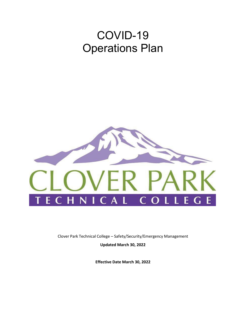# COVID-19 Operations Plan



Clover Park Technical College – Safety/Security/Emergency Management

**Updated March 30, 2022**

**Effective Date March 30, 2022**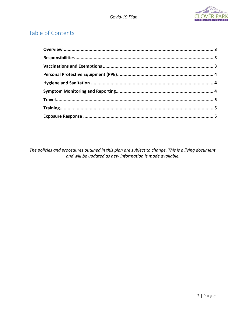# Table of Contents

The policies and procedures outlined in this plan are subject to change. This is a living document and will be updated as new information is made available.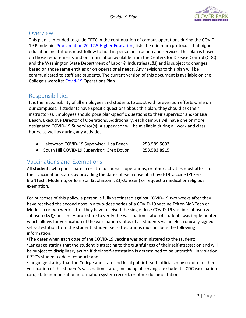

# Overview

This plan is intended to guide CPTC in the continuation of campus operations during the COVID-19 Pandemic. [Proclamation 20-12.5 Higher Education,](https://www.governor.wa.gov/sites/default/files/proclamations/proc_20-12.5.pdf?utm_medium=email&utm_source=govdelivery) lists the minimum protocols that higher education institutions must follow to hold in-person instruction and services. This plan is based on those requirements and on information available from the Centers for Disease Control (CDC) and the Washington State Department of Labor & Industries (L&I) and is subject to changes based on those same entities or on operational needs. Any revisions to this plan will be communicated to staff and students. The current version of this document is available on the College's website: [Covid-19](https://www.cptc.edu/covid#aa163b13-eb64-4609-a4b5-a291aaa9c156) Operations Plan

# Responsibilities

It is the responsibility of all employees and students to assist with prevention efforts while on our campuses. If students have specific questions about this plan, they should ask their instructor(s). Employees should pose plan-specific questions to their supervisor and/or Lisa Beach, Executive Director of Operations. Additionally, each campus will have one or more designated COVID-19 Supervisor(s). A supervisor will be available during all work and class hours, as well as during any activities.

| Lakewood COVID-19 Supervisor: Lisa Beach   | 253.589.5603 |
|--------------------------------------------|--------------|
| South Hill COVID-19 Supervisor: Greg Doyon | 253.583.8915 |

# Vaccinations and Exemptions

All **students** who participate in or attend courses, operations, or other activities must attest to their vaccination status by providing the dates of each dose of a Covid-19 vaccine (Pfizer-BioNTech, Moderna, or Johnson & Johnson (J&J)/Janssen) or request a medical or religious exemption.

For purposes of this policy, a person is fully vaccinated against COVID-19 two weeks after they have received the second dose in a two-dose series of a COVID-19 vaccine Pfizer-BioNTech or Moderna or two weeks after they have received the single-dose COVID-19 vaccine Johnson & Johnson (J&J)/Janssen. A procedure to verify the vaccination status of students was implemented which allows for verification of the vaccination status of all students via an electronically signed self-attestation from the student. Student self-attestations must include the following information:

▪The dates when each dose of the COVID-19 vaccine was administered to the student;

▪Language stating that the student is attesting to the truthfulness of their self-attestation and will be subject to disciplinary action if their self-attestation is determined to be untruthful in violation CPTC's student code of conduct; and

▪Language stating that the College and state and local public health officials may require further verification of the student's vaccination status, including observing the student's CDC vaccination card, state immunization information system record, or other documentation.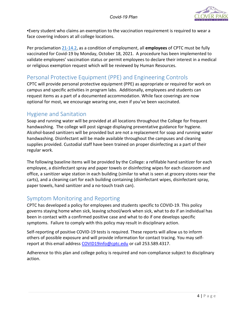

▪Every student who claims an exemption to the vaccination requirement is required to wear a face covering indoors at all college locations.

Per proclamation [21-14.2,](https://www.governor.wa.gov/sites/default/files/proclamations/21-14.2%20-%20COVID-19%20Vax%20Washington%20Amendment%20%28tmp%29.pdf) as a condition of employment, all **employees** of CPTC must be fully vaccinated for Covid-19 by Monday, October 18, 2021. A procedure has been implemented to validate employees' vaccination status or permit employees to declare their interest in a medical or religious exemption request which will be reviewed by Human Resources.

# Personal Protective Equipment (PPE) and Engineering Controls

CPTC will provide personal protective equipment (PPE) as appropriate or required for work on campus and specific activities in program labs. Additionally, employees and students can request items as a part of a documented accommodation. While face coverings are now optional for most, we encourage wearing one, even if you've been vaccinated.

### Hygiene and Sanitation

Soap and running water will be provided at all locations throughout the College for frequent handwashing. The college will post signage displaying preventative guidance for hygiene. Alcohol-based sanitizers will be provided but are not a replacement for soap and running water handwashing. Disinfectant will be made available throughout the campuses and cleaning supplies provided. Custodial staff have been trained on proper disinfecting as a part of their regular work.

The following baseline items will be provided by the College: a refillable hand sanitizer for each employee, a disinfectant spray and paper towels or disinfecting wipes for each classroom and office, a sanitizer wipe station in each building (similar to what is seen at grocery stores near the carts), and a cleaning cart for each building containing (disinfectant wipes, disinfectant spray, paper towels, hand sanitizer and a no-touch trash can).

# Symptom Monitoring and Reporting

CPTC has developed a policy for employees and students specific to COVID-19. This policy governs staying home when sick, leaving school/work when sick, what to do if an individual has been in contact with a confirmed positive case and what to do if one develops specific symptoms. Failure to comply with this policy may result in disciplinary action.

Self-reporting of positive COVID-19 tests is required. These reports will allow us to inform others of possible exposure and will provide information for contact tracing. You may self-report at this email address [COVID19info@cptc.edu](mailto:COVID19info@cptc.edu) or call 253.589.4317.

Adherence to this plan and college policy is required and non-compliance subject to disciplinary action.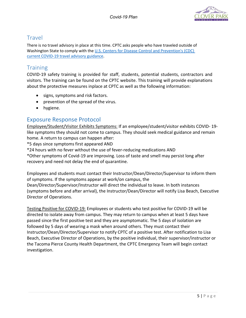

# **Travel**

There is no travel advisory in place at this time. CPTC asks people who have traveled outside of Washington State to comply with the [U.S. Centers for Disease Control and Prevention's \(CDC\)](https://www.cdc.gov/coronavirus/2019-ncov/travelers/travel-during-covid19.html)  [current COVID-19 travel advisory guidance.](https://www.cdc.gov/coronavirus/2019-ncov/travelers/travel-during-covid19.html)

# **Training**

COVID-19 safety training is provided for staff, students, potential students, contractors and visitors. The training can be found on the CPTC website. This training will provide explanations about the protective measures inplace at CPTC as well as the following information:

- signs, symptoms and risk factors.
- prevention of the spread of the virus.
- hygiene.

## Exposure Response Protocol

Employee/Student/Visitor Exhibits Symptoms: If an employee/student/visitor exhibits COVID- 19 like symptoms they should not come to campus. They should seek medical guidance and remain home. A return to campus can happen after:

\*5 days since symptoms first appeared AND

\*24 hours with no fever without the use of fever-reducing medications AND

\*Other symptoms of Covid-19 are improving. Loss of taste and smell may persist long after recovery and need not delay the end of quarantine.

Employees and students must contact their Instructor/Dean/Director/Supervisor to inform them of symptoms. If the symptoms appear at work/on campus, the Dean/Director/Supervisor/Instructor will direct the individual to leave. In both instances (symptoms before and after arrival), the Instructor/Dean/Director will notify Lisa Beach, Executive Director of Operations.

Testing Positive for COVID-19: Employees or students who test positive for COVID-19 will be directed to isolate away from campus. They may return to campus when at least 5 days have passed since the first positive test and they are asymptomatic. The 5 days of isolation are followed by 5 days of wearing a mask when around others. They must contact their Instructor/Dean/Director/Supervisor to notify CPTC of a positive test. After notification to Lisa Beach, Executive Director of Operations, by the positive individual, their supervisor/instructor or the Tacoma Pierce County Health Department, the CPTC Emergency Team will begin contact investigation.